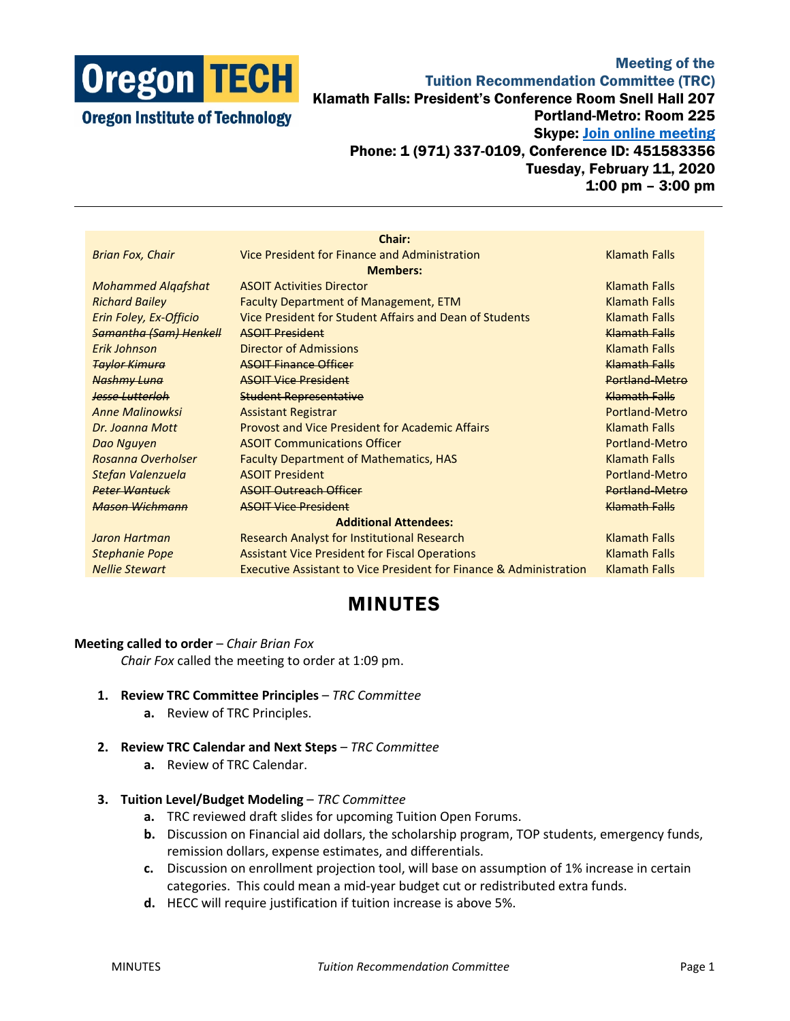

## Meeting of the Tuition Recommendation Committee (TRC) Klamath Falls: President's Conference Room Snell Hall 207 Portland-Metro: Room 225 Skype: **Join online meeting** Phone: 1 (971) 337-0109, Conference ID: 451583356 Tuesday, February 11, 2020 1:00 pm – 3:00 pm

|                               | Chair:                                                                        |                      |
|-------------------------------|-------------------------------------------------------------------------------|----------------------|
| <b>Brian Fox, Chair</b>       | Vice President for Finance and Administration                                 | <b>Klamath Falls</b> |
|                               |                                                                               |                      |
| <b>Members:</b>               |                                                                               |                      |
| <b>Mohammed Algafshat</b>     | <b>ASOIT Activities Director</b>                                              | <b>Klamath Falls</b> |
| <b>Richard Bailey</b>         | Faculty Department of Management, ETM                                         | <b>Klamath Falls</b> |
| Erin Foley, Ex-Officio        | Vice President for Student Affairs and Dean of Students                       | <b>Klamath Falls</b> |
| <b>Samantha (Sam) Henkell</b> | <b>ASOIT President</b>                                                        | Klamath Falls        |
| Frik Johnson                  | <b>Director of Admissions</b>                                                 | <b>Klamath Falls</b> |
| <b>Taylor Kimura</b>          | <b>ASOIT Finance Officer</b>                                                  | Klamath Falls        |
| Nashmy Luna                   | <b>ASOIT Vice President</b>                                                   | Portland-Metro       |
| <b>Jesse Lutterloh</b>        | <b>Student Representative</b>                                                 | <b>Klamath Falls</b> |
| <b>Anne Malinowksi</b>        | <b>Assistant Registrar</b>                                                    | Portland-Metro       |
| Dr. Joanna Mott               | <b>Provost and Vice President for Academic Affairs</b>                        | <b>Klamath Falls</b> |
| Dao Nguyen                    | <b>ASOIT Communications Officer</b>                                           | Portland-Metro       |
| Rosanna Overholser            | <b>Faculty Department of Mathematics, HAS</b>                                 | <b>Klamath Falls</b> |
| Stefan Valenzuela             | <b>ASOIT President</b>                                                        | Portland-Metro       |
| <b>Peter Wantuck</b>          | <b>ASOIT Outreach Officer</b>                                                 | Portland-Metro       |
| Mason Wichmann                | <b>ASOIT Vice President</b>                                                   | Klamath Falls        |
| <b>Additional Attendees:</b>  |                                                                               |                      |
| Jaron Hartman                 | Research Analyst for Institutional Research                                   | <b>Klamath Falls</b> |
| <b>Stephanie Pope</b>         | <b>Assistant Vice President for Fiscal Operations</b>                         | <b>Klamath Falls</b> |
| <b>Nellie Stewart</b>         | <b>Executive Assistant to Vice President for Finance &amp; Administration</b> | <b>Klamath Falls</b> |
|                               |                                                                               |                      |

## MINUTES

## **Meeting called to order** – *Chair Brian Fox*

*Chair Fox* called the meeting to order at 1:09 pm.

- **1. Review TRC Committee Principles** *TRC Committee*
	- **a.** Review of TRC Principles.
- **2. Review TRC Calendar and Next Steps** *TRC Committee*
	- **a.** Review of TRC Calendar.
- **3. Tuition Level/Budget Modeling** *TRC Committee*
	- **a.** TRC reviewed draft slides for upcoming Tuition Open Forums.
	- **b.** Discussion on Financial aid dollars, the scholarship program, TOP students, emergency funds, remission dollars, expense estimates, and differentials.
	- **c.** Discussion on enrollment projection tool, will base on assumption of 1% increase in certain categories. This could mean a mid-year budget cut or redistributed extra funds.
	- **d.** HECC will require justification if tuition increase is above 5%.